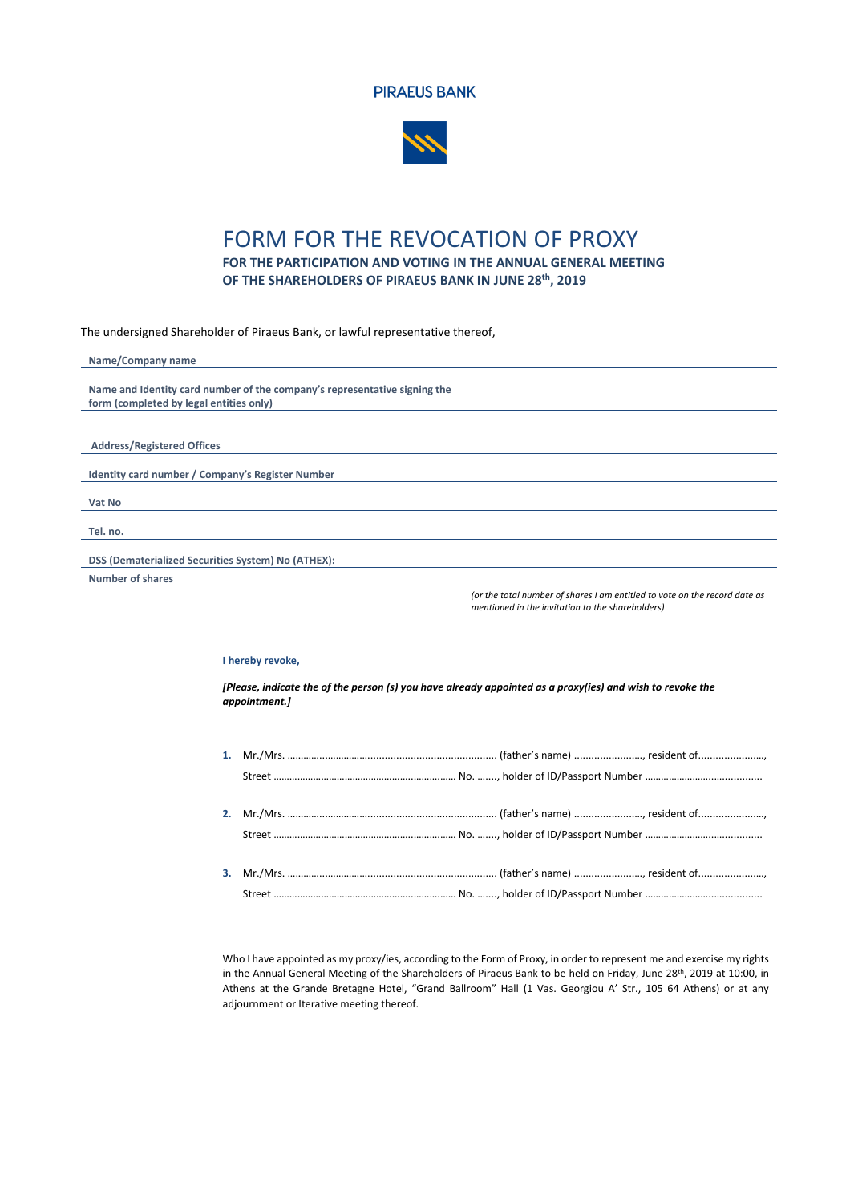



## FORM FOR THE REVOCATION OF PROXY

**FOR THE PARTICIPATION AND VOTING IN THE ANNUAL GENERAL MEETING OF THE SHAREHOLDERS OF PIRAEUS BANK IN JUNE 28 th, 2019**

The undersigned Shareholder of Piraeus Bank, or lawful representative thereof,

| Name/Company name                                                                    |  |  |
|--------------------------------------------------------------------------------------|--|--|
| Name and Identity card number of the company's representative signing the            |  |  |
| form (completed by legal entities only)                                              |  |  |
|                                                                                      |  |  |
|                                                                                      |  |  |
| <b>Address/Registered Offices</b>                                                    |  |  |
|                                                                                      |  |  |
| Identity card number / Company's Register Number                                     |  |  |
|                                                                                      |  |  |
| Vat No                                                                               |  |  |
|                                                                                      |  |  |
| Tel. no.                                                                             |  |  |
|                                                                                      |  |  |
| DSS (Dematerialized Securities System) No (ATHEX):                                   |  |  |
| <b>Number of shares</b>                                                              |  |  |
| for the test frame has of those to me contributed and the mode of the contributed on |  |  |

*(or the total number of shares I am entitled to vote on the record date as mentioned in the invitation to the shareholders)*

## **I hereby revoke,**

*[Please, indicate the of the person (s) you have already appointed as a proxy(ies) and wish to revoke the appointment.]*

Who I have appointed as my proxy/ies, according to the Form of Proxy, in order to represent me and exercise my rights in the Annual General Meeting of the Shareholders of Piraeus Bank to be held on Friday, June 28<sup>th</sup>, 2019 at 10:00, in Athens at the Grande Bretagne Hotel, "Grand Ballroom" Hall (1 Vas. Georgiou A' Str., 105 64 Athens) or at any adjournment or Iterative meeting thereof.